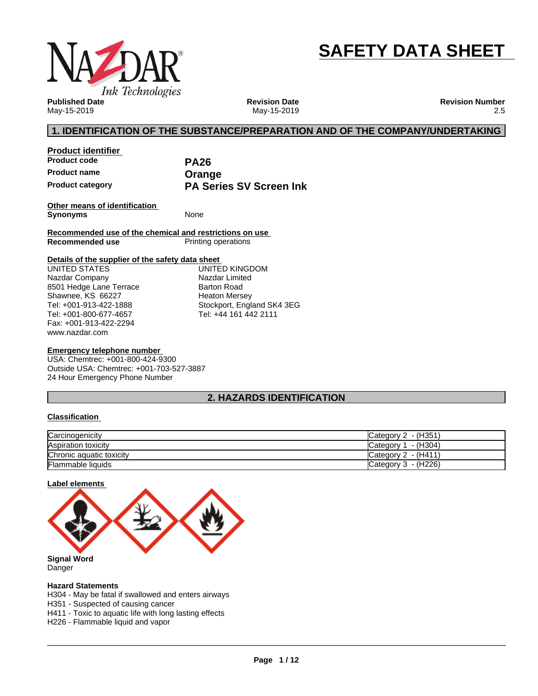

# **SAFETY DATA SHEET**

**Published Date** May-15-2019

**Revision Date** May-15-2019 **Revision Number** 2.5

### **1. IDENTIFICATION OF THE SUBSTANCE/PREPARATION AND OF THE COMPANY/UNDERTAKING**

**Product identifier Product code PA26 Product name**<br> **Product category**<br> **PA Seri** 

**PA Series SV Screen Ink** 

**Other means of identification Synonyms** None

**Recommended use of the chemical and restrictions on use Printing operations** 

#### **Details of the supplier of the safety data sheet**

www.nazdar.com UNITED STATES Nazdar Company 8501 Hedge Lane Terrace Shawnee, KS 66227 Tel: +001-913-422-1888 Tel: +001-800-677-4657 Fax: +001-913-422-2294

UNITED KINGDOM Nazdar Limited Barton Road Heaton Mersey Stockport, England SK4 3EG Tel: +44 161 442 2111

#### **Emergency telephone number**

USA: Chemtrec: +001-800-424-9300 Outside USA: Chemtrec: +001-703-527-3887 24 Hour Emergency Phone Number

### **2. HAZARDS IDENTIFICATION**

#### **Classification**

| Carcinogenicity          | Category 2 - (H351)    |
|--------------------------|------------------------|
| Aspiration toxicity      | - (H304)<br>Category 1 |
| Chronic aquatic toxicity | Category $2 - (H411)$  |
| <b>Flammable liquids</b> | Category $3 - (H226)$  |

#### **Label elements**



Danger

#### **Hazard Statements**

H304 - May be fatal if swallowed and enters airways

H351 - Suspected of causing cancer

H411 - Toxic to aquatic life with long lasting effects

H226 - Flammable liquid and vapor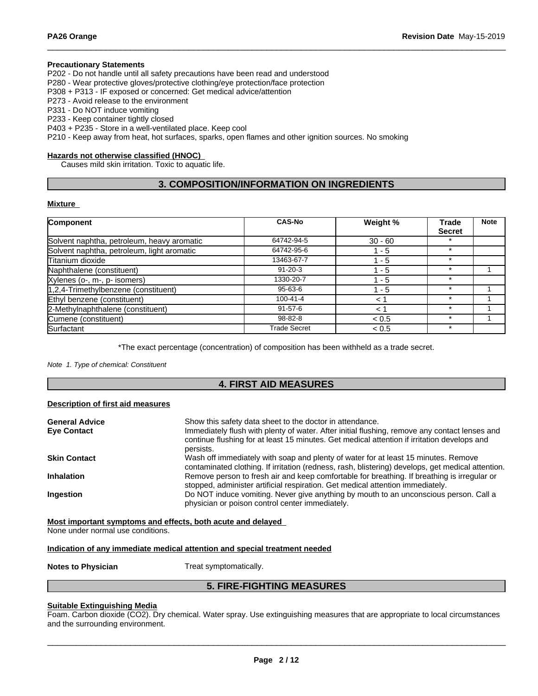#### **Precautionary Statements**

P202 - Do not handle until all safety precautions have been read and understood

P280 - Wear protective gloves/protective clothing/eye protection/face protection

P308 + P313 - IF exposed or concerned: Get medical advice/attention

P273 - Avoid release to the environment

P331 - Do NOT induce vomiting

P233 - Keep container tightly closed

P403 + P235 - Store in a well-ventilated place. Keep cool

P210 - Keep away from heat, hot surfaces, sparks, open flames and other ignition sources. No smoking

#### **Hazards not otherwise classified (HNOC)**

Causes mild skin irritation. Toxic to aquatic life.

### **3. COMPOSITION/INFORMATION ON INGREDIENTS**

#### **Mixture**

| Component                                  | <b>CAS-No</b>       | Weight %  | <b>Trade</b>  | <b>Note</b> |
|--------------------------------------------|---------------------|-----------|---------------|-------------|
|                                            |                     |           | <b>Secret</b> |             |
| Solvent naphtha, petroleum, heavy aromatic | 64742-94-5          | $30 - 60$ |               |             |
| Solvent naphtha, petroleum, light aromatic | 64742-95-6          | 1 - 5     | $\star$       |             |
| Titanium dioxide                           | 13463-67-7          | - 5       | $\star$       |             |
| Naphthalene (constituent)                  | $91 - 20 - 3$       | - 5       | $\star$       |             |
| Xylenes (o-, m-, p- isomers)               | 1330-20-7           | - 5       | $\star$       |             |
| $1,2,4$ -Trimethylbenzene (constituent)    | $95 - 63 - 6$       | 1 - 5     | $\star$       |             |
| Ethyl benzene (constituent)                | $100 - 41 - 4$      | $<$ 1     | $\star$       |             |
| 2-Methylnaphthalene (constituent)          | $91 - 57 - 6$       | $\leq$ 1  | $\star$       |             |
| Cumene (constituent)                       | 98-82-8             | < 0.5     | $\star$       |             |
| Surfactant                                 | <b>Trade Secret</b> | < 0.5     | $\star$       |             |

\*The exact percentage (concentration) of composition has been withheld as a trade secret.

*Note 1. Type of chemical: Constituent*

### **4. FIRST AID MEASURES**

#### **Description of first aid measures**

| <b>General Advice</b> | Show this safety data sheet to the doctor in attendance.                                                                                                                                     |
|-----------------------|----------------------------------------------------------------------------------------------------------------------------------------------------------------------------------------------|
| <b>Eve Contact</b>    | Immediately flush with plenty of water. After initial flushing, remove any contact lenses and<br>continue flushing for at least 15 minutes. Get medical attention if irritation develops and |
|                       | persists.                                                                                                                                                                                    |
| <b>Skin Contact</b>   | Wash off immediately with soap and plenty of water for at least 15 minutes. Remove                                                                                                           |
|                       | contaminated clothing. If irritation (redness, rash, blistering) develops, get medical attention.                                                                                            |
| <b>Inhalation</b>     | Remove person to fresh air and keep comfortable for breathing. If breathing is irregular or<br>stopped, administer artificial respiration. Get medical attention immediately.                |
| <b>Ingestion</b>      | Do NOT induce vomiting. Never give anything by mouth to an unconscious person. Call a<br>physician or poison control center immediately.                                                     |
|                       |                                                                                                                                                                                              |

**Most important symptoms and effects, both acute and delayed**

None under normal use conditions.

#### **Indication of any immediate medical attention and special treatment needed**

**Notes to Physician** Treat symptomatically.

### **5. FIRE-FIGHTING MEASURES**

#### **Suitable Extinguishing Media**

Foam. Carbon dioxide (CO2). Dry chemical. Water spray. Use extinguishing measures that are appropriate to local circumstances and the surrounding environment.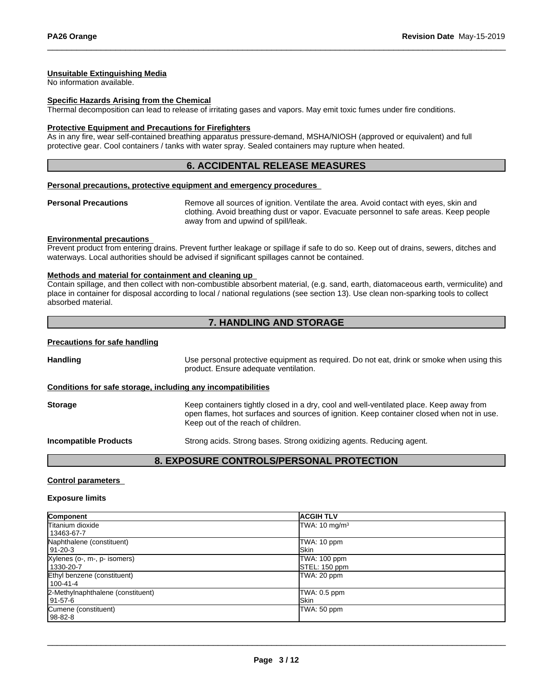#### **Unsuitable Extinguishing Media**

No information available.

#### **Specific Hazards Arising from the Chemical**

Thermal decomposition can lead to release of irritating gases and vapors. May emit toxic fumes under fire conditions.

#### **Protective Equipment and Precautions for Firefighters**

As in any fire, wear self-contained breathing apparatus pressure-demand, MSHA/NIOSH (approved or equivalent) and full protective gear. Cool containers / tanks with water spray. Sealed containers may rupture when heated.

### **6. ACCIDENTAL RELEASE MEASURES**

#### **Personal precautions, protective equipment and emergency procedures**

**Personal Precautions** Remove all sources of ignition. Ventilate the area. Avoid contact with eyes, skin and clothing. Avoid breathing dust or vapor. Evacuate personnel to safe areas. Keep people away from and upwind of spill/leak.

#### **Environmental precautions**

Prevent product from entering drains. Prevent further leakage or spillage if safe to do so. Keep out of drains, sewers, ditches and waterways. Local authorities should be advised if significant spillages cannot be contained.

#### **Methods and material for containment and cleaning up**

Contain spillage, and then collectwith non-combustible absorbent material, (e.g. sand, earth, diatomaceous earth, vermiculite) and place in container for disposal according to local / national regulations (see section 13). Use clean non-sparking tools to collect absorbed material.

### **7. HANDLING AND STORAGE**

#### **Precautions for safe handling**

**Handling** Use personal protective equipment as required. Do not eat, drink or smoke when using this product. Ensure adequate ventilation.

#### **Conditions for safe storage, including any incompatibilities**

| <b>Storage</b> | Keep containers tightly closed in a dry, cool and well-ventilated place. Keep away from<br>open flames, hot surfaces and sources of ignition. Keep container closed when not in use.<br>Keep out of the reach of children. |
|----------------|----------------------------------------------------------------------------------------------------------------------------------------------------------------------------------------------------------------------------|
|                |                                                                                                                                                                                                                            |

**Incompatible Products** Strong acids. Strong bases. Strong oxidizing agents. Reducing agent.

### **8. EXPOSURE CONTROLS/PERSONAL PROTECTION**

#### **Control parameters**

#### **Exposure limits**

| Component                         | <b>ACGIH TLV</b>         |
|-----------------------------------|--------------------------|
| Titanium dioxide                  | TWA: $10 \text{ mg/m}^3$ |
| 13463-67-7                        |                          |
| Naphthalene (constituent)         | TWA: 10 ppm              |
| 191-20-3                          | <b>ISkin</b>             |
| Xylenes (o-, m-, p- isomers)      | TWA: 100 ppm             |
| 1330-20-7                         | STEL: 150 ppm            |
| Ethyl benzene (constituent)       | TWA: 20 ppm              |
| 100-41-4                          |                          |
| 2-Methylnaphthalene (constituent) | TWA: 0.5 ppm             |
| 191-57-6                          | <b>ISkin</b>             |
| Cumene (constituent)              | TWA: 50 ppm              |
| 98-82-8                           |                          |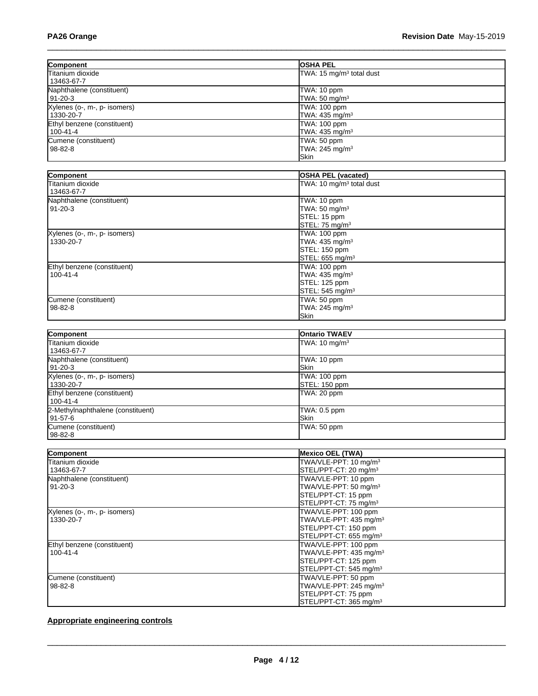| Component                    | <b>OSHA PEL</b>                      |
|------------------------------|--------------------------------------|
| Titanium dioxide             | TWA: 15 mg/m <sup>3</sup> total dust |
| 13463-67-7                   |                                      |
| Naphthalene (constituent)    | TWA: 10 ppm                          |
| 191-20-3                     | TWA: $50 \text{ mg/m}^3$             |
| Xylenes (o-, m-, p- isomers) | TWA: 100 ppm                         |
| 1330-20-7                    | TWA: $435 \text{ mg/m}^3$            |
| Ethyl benzene (constituent)  | TWA: 100 ppm                         |
| 100-41-4                     | TWA: $435 \text{ mg/m}^3$            |
| Cumene (constituent)         | TWA: 50 ppm                          |
| 98-82-8                      | TWA: 245 mg/m <sup>3</sup>           |
|                              | <b>Skin</b>                          |

| Component                    | <b>OSHA PEL (vacated)</b>            |
|------------------------------|--------------------------------------|
| Titanium dioxide             | TWA: 10 mg/m <sup>3</sup> total dust |
| 13463-67-7                   |                                      |
| Naphthalene (constituent)    | TWA: 10 ppm                          |
| $91 - 20 - 3$                | TWA: 50 mg/m <sup>3</sup>            |
|                              | STEL: 15 ppm                         |
|                              | STEL: 75 mg/m <sup>3</sup>           |
| Xylenes (o-, m-, p- isomers) | TWA: 100 ppm                         |
| 1330-20-7                    | TWA: 435 mg/m <sup>3</sup>           |
|                              | STEL: 150 ppm                        |
|                              | STEL: 655 mg/m <sup>3</sup>          |
| Ethyl benzene (constituent)  | TWA: 100 ppm                         |
| $100 - 41 - 4$               | TWA: 435 mg/m <sup>3</sup>           |
|                              | STEL: 125 ppm                        |
|                              | STEL: 545 mg/m <sup>3</sup>          |
| Cumene (constituent)         | TWA: 50 ppm                          |
| $98 - 82 - 8$                | TWA: 245 mg/m <sup>3</sup>           |
|                              | Skin                                 |

| Component                         | <b>Ontario TWAEV</b>     |
|-----------------------------------|--------------------------|
| <b>Titanium dioxide</b>           | TWA: $10 \text{ mg/m}^3$ |
| 13463-67-7                        |                          |
| Naphthalene (constituent)         | TWA: 10 ppm              |
| 91-20-3                           | <b>ISkin</b>             |
| Xylenes (o-, m-, p- isomers)      | TWA: 100 ppm             |
| 1330-20-7                         | STEL: 150 ppm            |
| Ethyl benzene (constituent)       | TWA: 20 ppm              |
| 100-41-4                          |                          |
| 2-Methylnaphthalene (constituent) | TWA: 0.5 ppm             |
| l 91-57-6                         | <b>ISkin</b>             |
| Cumene (constituent)              | TWA: 50 ppm              |
| 98-82-8                           |                          |

| Component                    | <b>Mexico OEL (TWA)</b>            |
|------------------------------|------------------------------------|
| lTitanium dioxide            | TWA/VLE-PPT: 10 mg/m <sup>3</sup>  |
| 13463-67-7                   | STEL/PPT-CT: 20 mg/m <sup>3</sup>  |
| Naphthalene (constituent)    | TWA/VLE-PPT: 10 ppm                |
| $91 - 20 - 3$                | TWA/VLE-PPT: 50 mg/m <sup>3</sup>  |
|                              | STEL/PPT-CT: 15 ppm                |
|                              | STEL/PPT-CT: 75 mg/m <sup>3</sup>  |
| Xylenes (o-, m-, p- isomers) | TWA/VLE-PPT: 100 ppm               |
| 1330-20-7                    | TWA/VLE-PPT: 435 mg/m <sup>3</sup> |
|                              | STEL/PPT-CT: 150 ppm               |
|                              | STEL/PPT-CT: 655 mg/m <sup>3</sup> |
| Ethyl benzene (constituent)  | TWA/VLE-PPT: 100 ppm               |
| $100 - 41 - 4$               | TWA/VLE-PPT: 435 mg/m <sup>3</sup> |
|                              | STEL/PPT-CT: 125 ppm               |
|                              | STEL/PPT-CT: 545 mg/m <sup>3</sup> |
| Cumene (constituent)         | TWA/VLE-PPT: 50 ppm                |
| $98 - 82 - 8$                | TWA/VLE-PPT: 245 mg/m <sup>3</sup> |
|                              | STEL/PPT-CT: 75 ppm                |
|                              | STEL/PPT-CT: 365 mg/m <sup>3</sup> |

### **Appropriate engineering controls**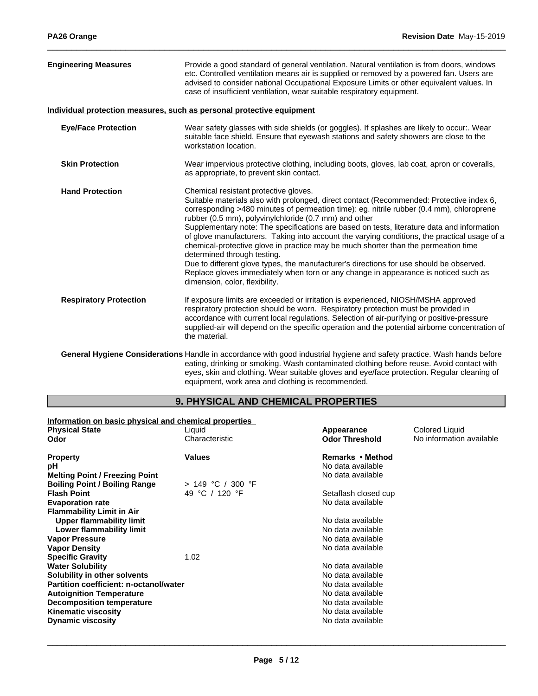| <b>Engineering Measures</b>   | Provide a good standard of general ventilation. Natural ventilation is from doors, windows<br>etc. Controlled ventilation means air is supplied or removed by a powered fan. Users are<br>advised to consider national Occupational Exposure Limits or other equivalent values. In<br>case of insufficient ventilation, wear suitable respiratory equipment.                                                                                                                                                                                                                                                                                                                                                                                                                                                                  |
|-------------------------------|-------------------------------------------------------------------------------------------------------------------------------------------------------------------------------------------------------------------------------------------------------------------------------------------------------------------------------------------------------------------------------------------------------------------------------------------------------------------------------------------------------------------------------------------------------------------------------------------------------------------------------------------------------------------------------------------------------------------------------------------------------------------------------------------------------------------------------|
|                               | Individual protection measures, such as personal protective equipment                                                                                                                                                                                                                                                                                                                                                                                                                                                                                                                                                                                                                                                                                                                                                         |
| <b>Eye/Face Protection</b>    | Wear safety glasses with side shields (or goggles). If splashes are likely to occur:. Wear<br>suitable face shield. Ensure that eyewash stations and safety showers are close to the<br>workstation location.                                                                                                                                                                                                                                                                                                                                                                                                                                                                                                                                                                                                                 |
| <b>Skin Protection</b>        | Wear impervious protective clothing, including boots, gloves, lab coat, apron or coveralls,<br>as appropriate, to prevent skin contact.                                                                                                                                                                                                                                                                                                                                                                                                                                                                                                                                                                                                                                                                                       |
| <b>Hand Protection</b>        | Chemical resistant protective gloves.<br>Suitable materials also with prolonged, direct contact (Recommended: Protective index 6,<br>corresponding >480 minutes of permeation time): eg. nitrile rubber (0.4 mm), chloroprene<br>rubber (0.5 mm), polyvinylchloride (0.7 mm) and other<br>Supplementary note: The specifications are based on tests, literature data and information<br>of glove manufacturers. Taking into account the varying conditions, the practical usage of a<br>chemical-protective glove in practice may be much shorter than the permeation time<br>determined through testing.<br>Due to different glove types, the manufacturer's directions for use should be observed.<br>Replace gloves immediately when torn or any change in appearance is noticed such as<br>dimension, color, flexibility. |
| <b>Respiratory Protection</b> | If exposure limits are exceeded or irritation is experienced, NIOSH/MSHA approved<br>respiratory protection should be worn. Respiratory protection must be provided in<br>accordance with current local regulations. Selection of air-purifying or positive-pressure<br>supplied-air will depend on the specific operation and the potential airborne concentration of<br>the material.                                                                                                                                                                                                                                                                                                                                                                                                                                       |
|                               | General Hygiene Considerations Handle in accordance with good industrial hygiene and safety practice. Wash hands before<br>eating, drinking or smoking. Wash contaminated clothing before reuse. Avoid contact with                                                                                                                                                                                                                                                                                                                                                                                                                                                                                                                                                                                                           |

eyes, skin and clothing. Wear suitable gloves and eye/face protection. Regular cleaning of equipment, work area and clothing is recommended.

### **9. PHYSICAL AND CHEMICAL PROPERTIES**

| Information on basic physical and chemical properties |                     |                       |                          |  |  |
|-------------------------------------------------------|---------------------|-----------------------|--------------------------|--|--|
| <b>Physical State</b>                                 | Liquid              | Appearance            | Colored Liquid           |  |  |
| Odor                                                  | Characteristic      | <b>Odor Threshold</b> | No information available |  |  |
| <b>Property</b>                                       | Values              | Remarks • Method      |                          |  |  |
| рH                                                    |                     | No data available     |                          |  |  |
| <b>Melting Point / Freezing Point</b>                 |                     | No data available     |                          |  |  |
| <b>Boiling Point / Boiling Range</b>                  | $> 149$ °C / 300 °F |                       |                          |  |  |
| <b>Flash Point</b>                                    | 49 °C / 120 °F      | Setaflash closed cup  |                          |  |  |
| <b>Evaporation rate</b>                               |                     | No data available     |                          |  |  |
| <b>Flammability Limit in Air</b>                      |                     |                       |                          |  |  |
| Upper flammability limit                              |                     | No data available     |                          |  |  |
| Lower flammability limit                              |                     | No data available     |                          |  |  |
| <b>Vapor Pressure</b>                                 |                     | No data available     |                          |  |  |
| <b>Vapor Density</b>                                  |                     | No data available     |                          |  |  |
| <b>Specific Gravity</b>                               | 1.02                |                       |                          |  |  |
| <b>Water Solubility</b>                               |                     | No data available     |                          |  |  |
| Solubility in other solvents                          |                     | No data available     |                          |  |  |
| Partition coefficient: n-octanol/water                |                     | No data available     |                          |  |  |
| <b>Autoignition Temperature</b>                       |                     | No data available     |                          |  |  |
| <b>Decomposition temperature</b>                      |                     | No data available     |                          |  |  |
| <b>Kinematic viscosity</b>                            |                     | No data available     |                          |  |  |
| <b>Dynamic viscosity</b>                              |                     | No data available     |                          |  |  |
|                                                       |                     |                       |                          |  |  |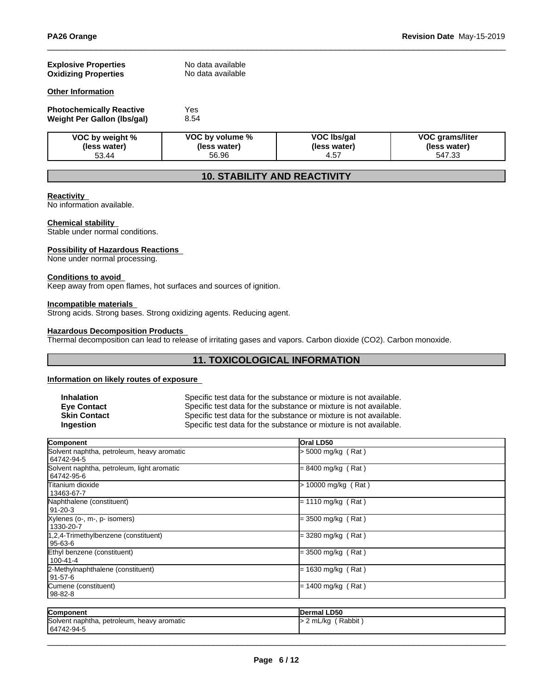| <b>Explosive Properties</b><br><b>Oxidizing Properties</b>     | No data available<br>No data available   |                                     |                                                  |
|----------------------------------------------------------------|------------------------------------------|-------------------------------------|--------------------------------------------------|
| <b>Other Information</b>                                       |                                          |                                     |                                                  |
| <b>Photochemically Reactive</b><br>Weight Per Gallon (Ibs/gal) | Yes<br>8.54                              |                                     |                                                  |
| VOC by weight %<br>(less water)<br>53.44                       | VOC by volume %<br>(less water)<br>56.96 | VOC Ibs/gal<br>(less water)<br>4.57 | <b>VOC grams/liter</b><br>(less water)<br>547.33 |

## **10. STABILITY AND REACTIVITY**

#### **Reactivity**

No information available.

#### **Chemical stability**

Stable under normal conditions.

#### **Possibility of Hazardous Reactions**

None under normal processing.

#### **Conditions to avoid**

Keep away from open flames, hot surfaces and sources of ignition.

#### **Incompatible materials**

Strong acids. Strong bases. Strong oxidizing agents. Reducing agent.

#### **Hazardous Decomposition Products**

Thermal decomposition can lead to release of irritating gases and vapors. Carbon dioxide (CO2). Carbon monoxide.

### **11. TOXICOLOGICAL INFORMATION**

### **Information on likely routes of exposure**

| <b>Inhalation</b>   |
|---------------------|
| <b>Eve Contact</b>  |
| <b>Skin Contact</b> |
| Ingestion           |

Specific test data for the substance or mixture is not available. **Eye Contact** Specific test data for the substance or mixture is not available. Specific test data for the substance or mixture is not available. Specific test data for the substance or mixture is not available.

| <b>Oral LD50</b>      |  |
|-----------------------|--|
| $>$ 5000 mg/kg (Rat)  |  |
| $= 8400$ mg/kg (Rat)  |  |
| $> 10000$ mg/kg (Rat) |  |
| $= 1110$ mg/kg (Rat)  |  |
| $=$ 3500 mg/kg (Rat)  |  |
| $=$ 3280 mg/kg (Rat)  |  |
| $=$ 3500 mg/kg (Rat)  |  |
| $= 1630$ mg/kg (Rat)  |  |
| $= 1400$ mg/kg (Rat)  |  |
|                       |  |

| Component                                  | Dermal LD50               |
|--------------------------------------------|---------------------------|
| Solvent naphtha, petroleum, heavy aromatic | Rabbit<br>$> 2$ mL/kg $'$ |
| 64742-94-5                                 |                           |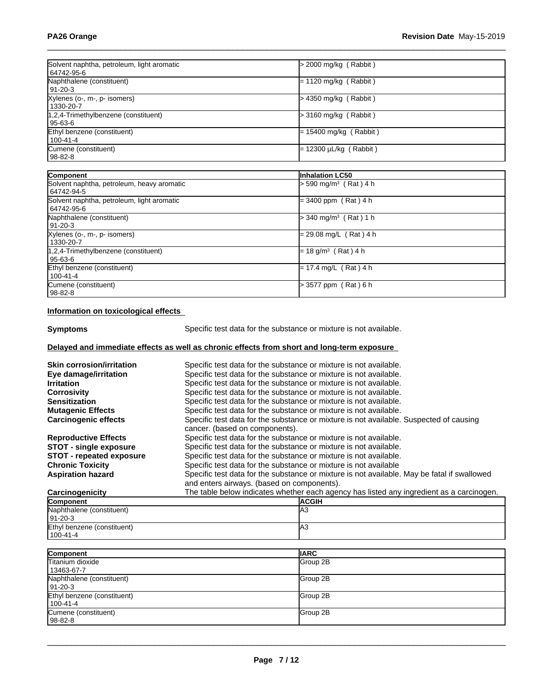| Solvent naphtha, petroleum, light aromatic<br>64742-95-6 | $>$ 2000 mg/kg (Rabbit)             |
|----------------------------------------------------------|-------------------------------------|
| Naphthalene (constituent)<br>91-20-3                     | $= 1120$ mg/kg (Rabbit)             |
| Xylenes (o-, m-, p- isomers)<br>1330-20-7                | > 4350 mg/kg (Rabbit)               |
| 1,2,4-Trimethylbenzene (constituent)<br>  95-63-6        | > 3160 mg/kg (Rabbit)               |
| Ethyl benzene (constituent)<br>100-41-4                  | $= 15400$ mg/kg (Rabbit)            |
| Cumene (constituent)<br>98-82-8                          | = 12300 µL/kg ( Rabbit )            |
|                                                          |                                     |
| Component                                                | Inhalation LC50                     |
| Solvent naphtha, petroleum, heavy aromatic<br>64742-94-5 | > 590 mg/m <sup>3</sup> (Rat) 4 h   |
| Solvent naphtha, petroleum, light aromatic<br>64742-95-6 | $= 3400$ ppm (Rat) 4 h              |
| Naphthalene (constituent)<br>$ 91-20-3 $                 | $>$ 340 mg/m <sup>3</sup> (Rat) 1 h |
| Xylenes (o-, m-, p- isomers)<br>1330-20-7                | $= 29.08$ mg/L (Rat) 4 h            |
| 1,2,4-Trimethylbenzene (constituent)<br>$95 - 63 - 6$    | $= 18$ g/m <sup>3</sup> (Rat) 4 h   |
| Ethyl benzene (constituent)<br>100-41-4                  | $= 17.4$ mg/L (Rat) 4 h             |
| Cumene (constituent)<br>98-82-8                          | > 3577 ppm (Rat) 6 h                |

#### **Information on toxicological effects**

**Symptoms** Specific test data for the substance or mixture is not available.

### **Delayed and immediate effects as well as chronic effects from short and long-term exposure**

| <b>Skin corrosion/irritation</b><br>Eye damage/irritation<br><b>Irritation</b><br><b>Corrosivity</b><br><b>Sensitization</b><br><b>Mutagenic Effects</b><br><b>Carcinogenic effects</b> | Specific test data for the substance or mixture is not available.<br>Specific test data for the substance or mixture is not available.<br>Specific test data for the substance or mixture is not available.<br>Specific test data for the substance or mixture is not available.<br>Specific test data for the substance or mixture is not available.<br>Specific test data for the substance or mixture is not available.<br>Specific test data for the substance or mixture is not available. Suspected of causing<br>cancer. (based on components). |  |
|-----------------------------------------------------------------------------------------------------------------------------------------------------------------------------------------|--------------------------------------------------------------------------------------------------------------------------------------------------------------------------------------------------------------------------------------------------------------------------------------------------------------------------------------------------------------------------------------------------------------------------------------------------------------------------------------------------------------------------------------------------------|--|
| <b>Reproductive Effects</b>                                                                                                                                                             | Specific test data for the substance or mixture is not available.                                                                                                                                                                                                                                                                                                                                                                                                                                                                                      |  |
| STOT - single exposure                                                                                                                                                                  | Specific test data for the substance or mixture is not available.                                                                                                                                                                                                                                                                                                                                                                                                                                                                                      |  |
| <b>STOT - repeated exposure</b>                                                                                                                                                         | Specific test data for the substance or mixture is not available.                                                                                                                                                                                                                                                                                                                                                                                                                                                                                      |  |
| <b>Chronic Toxicity</b>                                                                                                                                                                 | Specific test data for the substance or mixture is not available                                                                                                                                                                                                                                                                                                                                                                                                                                                                                       |  |
| <b>Aspiration hazard</b>                                                                                                                                                                | Specific test data for the substance or mixture is not available. May be fatal if swallowed                                                                                                                                                                                                                                                                                                                                                                                                                                                            |  |
|                                                                                                                                                                                         | and enters airways. (based on components).                                                                                                                                                                                                                                                                                                                                                                                                                                                                                                             |  |
| Carcinogenicity                                                                                                                                                                         | The table below indicates whether each agency has listed any ingredient as a carcinogen.                                                                                                                                                                                                                                                                                                                                                                                                                                                               |  |
| Component                                                                                                                                                                               | <b>ACGIH</b>                                                                                                                                                                                                                                                                                                                                                                                                                                                                                                                                           |  |
| Naphthalene (constituent)<br>$91 - 20 - 3$                                                                                                                                              | lАЗ                                                                                                                                                                                                                                                                                                                                                                                                                                                                                                                                                    |  |
| Ethyl benzene (constituent)<br>100-41-4                                                                                                                                                 | lA3                                                                                                                                                                                                                                                                                                                                                                                                                                                                                                                                                    |  |
| Component                                                                                                                                                                               | liarc                                                                                                                                                                                                                                                                                                                                                                                                                                                                                                                                                  |  |
| Titanium dioxide                                                                                                                                                                        | Group 2B                                                                                                                                                                                                                                                                                                                                                                                                                                                                                                                                               |  |
| 13463-67-7                                                                                                                                                                              |                                                                                                                                                                                                                                                                                                                                                                                                                                                                                                                                                        |  |
| Naphthalene (constituent)<br>91-20-3                                                                                                                                                    | Group 2B                                                                                                                                                                                                                                                                                                                                                                                                                                                                                                                                               |  |
| Ethyl benzene (constituent)<br>$100 - 41 - 4$                                                                                                                                           | Group 2B                                                                                                                                                                                                                                                                                                                                                                                                                                                                                                                                               |  |
| Cumene (constituent)<br>98-82-8                                                                                                                                                         | Group 2B                                                                                                                                                                                                                                                                                                                                                                                                                                                                                                                                               |  |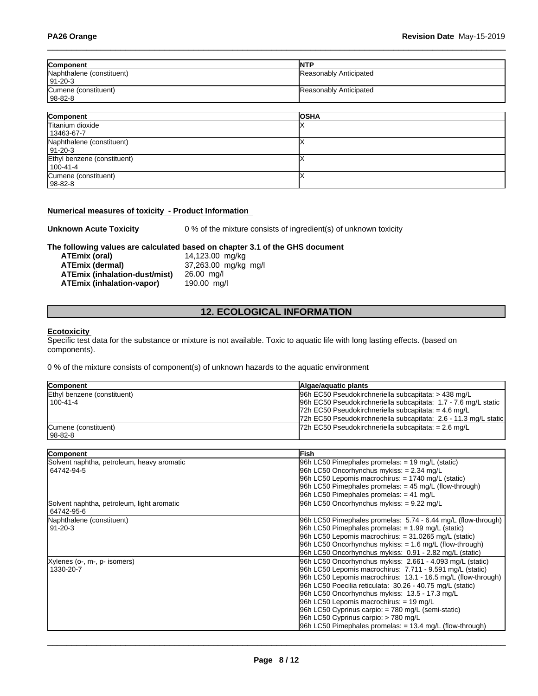| Component                 | <b>INTP</b>            |
|---------------------------|------------------------|
| Naphthalene (constituent) | Reasonably Anticipated |
| $ 91-20-3 $               |                        |
| Cumene (constituent)      | Reasonably Anticipated |
| 98-82-8                   |                        |
|                           |                        |
| Component                 | <b>OSHA</b>            |
| Titanium dioxide          |                        |
| 13463-67-7                |                        |
| Naphthalene (constituent) |                        |
| 91-20-3                   |                        |

| 100-41-4             |  |
|----------------------|--|
| Cumene (constituent) |  |
| 98-82-8              |  |
|                      |  |

#### **Numerical measures of toxicity - Product Information**

Ethyl benzene (constituent)

**Unknown Acute Toxicity** 0 % of the mixture consists of ingredient(s) of unknown toxicity

 $\boldsymbol{\mathsf{X}}$ 

#### **The following values are calculated based on chapter 3.1 of the GHS document**

| ATEmix (oral)                 | 14,123.00 mg/kg      |
|-------------------------------|----------------------|
| <b>ATEmix (dermal)</b>        | 37,263.00 mg/kg mg/l |
| ATEmix (inhalation-dust/mist) | 26.00 ma/l           |
| ATEmix (inhalation-vapor)     | 190.00 ma/l          |

### **12. ECOLOGICAL INFORMATION**

#### **Ecotoxicity**

Specific test data for the substance or mixture is not available. Toxic to aquatic life with long lasting effects. (based on components).

0 % of the mixture consists of component(s) of unknown hazards to the aquatic environment

| <b>Component</b>            | Algae/aguatic plants                                             |
|-----------------------------|------------------------------------------------------------------|
| Ethyl benzene (constituent) | 96h EC50 Pseudokirchneriella subcapitata: > 438 mg/L             |
| 1100-41-4                   | 96h EC50 Pseudokirchneriella subcapitata: 1.7 - 7.6 mg/L static  |
|                             | $ 72h$ EC50 Pseudokirchneriella subcapitata: = 4.6 mg/L          |
|                             | 72h EC50 Pseudokirchneriella subcapitata: 2.6 - 11.3 mg/L static |
| Cumene (constituent)        | $ 72h$ EC50 Pseudokirchneriella subcapitata: = 2.6 mg/L          |
| 98-82-8                     |                                                                  |

| Component                                  | <b>Fish</b>                                                   |
|--------------------------------------------|---------------------------------------------------------------|
| Solvent naphtha, petroleum, heavy aromatic | 96h LC50 Pimephales promelas: $= 19$ mg/L (static)            |
| 64742-94-5                                 | 96h LC50 Oncorhynchus mykiss: $= 2.34$ mg/L                   |
|                                            | 96h LC50 Lepomis macrochirus: $= 1740$ mg/L (static)          |
|                                            | $ 96h$ LC50 Pimephales promelas: $=$ 45 mg/L (flow-through)   |
|                                            | 96h LC50 Pimephales promelas: $= 41$ mg/L                     |
| Solvent naphtha, petroleum, light aromatic | 96h LC50 Oncorhynchus mykiss: = 9.22 mg/L                     |
| 64742-95-6                                 |                                                               |
| Naphthalene (constituent)                  | 96h LC50 Pimephales promelas: 5.74 - 6.44 mg/L (flow-through) |
| 91-20-3                                    | 96h LC50 Pimephales promelas: $= 1.99$ mg/L (static)          |
|                                            | 96h LC50 Lepomis macrochirus: $= 31.0265$ mg/L (static)       |
|                                            | 96h LC50 Oncorhynchus mykiss: $= 1.6$ mg/L (flow-through)     |
|                                            | 96h LC50 Oncorhynchus mykiss: 0.91 - 2.82 mg/L (static)       |
| Xylenes (o-, m-, p- isomers)               | 96h LC50 Oncorhynchus mykiss: 2.661 - 4.093 mg/L (static)     |
| 1330-20-7                                  | 96h LC50 Lepomis macrochirus: 7.711 - 9.591 mg/L (static)     |
|                                            | 96h LC50 Lepomis macrochirus: 13.1 - 16.5 mg/L (flow-through) |
|                                            | 96h LC50 Poecilia reticulata: 30.26 - 40.75 mg/L (static)     |
|                                            | 96h LC50 Oncorhynchus mykiss: 13.5 - 17.3 mg/L                |
|                                            | 96h LC50 Lepomis macrochirus: $= 19$ mg/L                     |
|                                            | 96h LC50 Cyprinus carpio: $= 780$ mg/L (semi-static)          |
|                                            | 96h LC50 Cyprinus carpio: > 780 mg/L                          |
|                                            | 96h LC50 Pimephales promelas: = 13.4 mg/L (flow-through)      |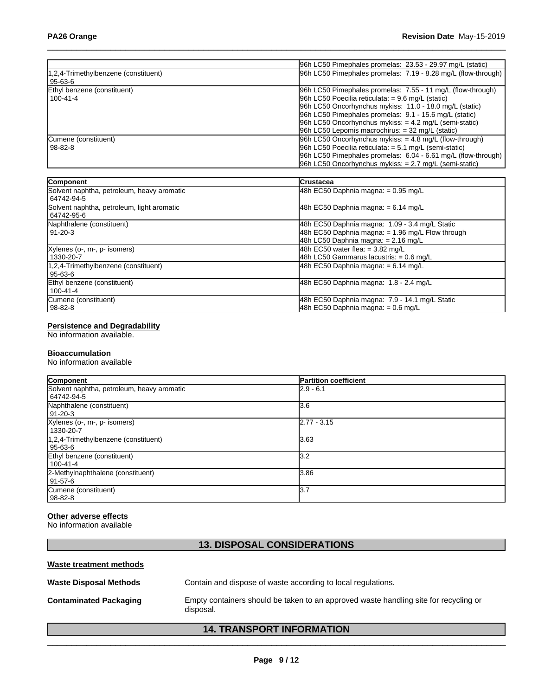|                                      | 96h LC50 Pimephales promelas: 23.53 - 29.97 mg/L (static)     |
|--------------------------------------|---------------------------------------------------------------|
| 1,2,4-Trimethylbenzene (constituent) | 96h LC50 Pimephales promelas: 7.19 - 8.28 mg/L (flow-through) |
| l 95-63-6                            |                                                               |
| Ethyl benzene (constituent)          | 96h LC50 Pimephales promelas: 7.55 - 11 mg/L (flow-through)   |
| 100-41-4                             | 96h LC50 Poecilia reticulata: $= 9.6$ mg/L (static)           |
|                                      | 96h LC50 Oncorhynchus mykiss: 11.0 - 18.0 mg/L (static)       |
|                                      | 96h LC50 Pimephales promelas: 9.1 - 15.6 mg/L (static)        |
|                                      | $96h$ LC50 Oncorhynchus mykiss: $=$ 4.2 mg/L (semi-static)    |
|                                      | 96h LC50 Lepomis macrochirus: $=$ 32 mg/L (static)            |
| Cumene (constituent)                 | $ 96h$ LC50 Oncorhynchus mykiss: $=$ 4.8 mg/L (flow-through)  |
| 98-82-8                              | 96h LC50 Poecilia reticulata: $= 5.1$ mg/L (semi-static)      |
|                                      | 96h LC50 Pimephales promelas: 6.04 - 6.61 mg/L (flow-through) |
|                                      | 96h LC50 Oncorhynchus mykiss: = 2.7 mg/L (semi-static)        |

| Component                                                | <b>Crustacea</b>                                                                                                                            |
|----------------------------------------------------------|---------------------------------------------------------------------------------------------------------------------------------------------|
| Solvent naphtha, petroleum, heavy aromatic<br>64742-94-5 | 48h EC50 Daphnia magna: = 0.95 mg/L                                                                                                         |
| Solvent naphtha, petroleum, light aromatic<br>64742-95-6 | 48h EC50 Daphnia magna: $= 6.14$ mg/L                                                                                                       |
| Naphthalene (constituent)<br>91-20-3                     | 48h EC50 Daphnia magna: 1.09 - 3.4 mg/L Static<br>48h EC50 Daphnia magna: $= 1.96$ mg/L Flow through<br>48h LC50 Daphnia magna: = 2.16 mg/L |
| Xylenes (o-, m-, p- isomers)<br>1330-20-7                | 48h EC50 water flea: $=$ 3.82 mg/L<br>48h LC50 Gammarus lacustris: = 0.6 mg/L                                                               |
| 1.2.4-Trimethylbenzene (constituent)<br>95-63-6          | 48h EC50 Daphnia magna: $= 6.14$ mg/L                                                                                                       |
| Ethyl benzene (constituent)<br>$100 - 41 - 4$            | 48h EC50 Daphnia magna: 1.8 - 2.4 mg/L                                                                                                      |
| Cumene (constituent)<br>  98-82-8                        | 48h EC50 Daphnia magna: 7.9 - 14.1 mg/L Static<br>48h EC50 Daphnia magna: = 0.6 mg/L                                                        |

#### **Persistence and Degradability**

No information available.

#### **Bioaccumulation**

No information available

| Component                                                | <b>Partition coefficient</b> |
|----------------------------------------------------------|------------------------------|
| Solvent naphtha, petroleum, heavy aromatic<br>64742-94-5 | $2.9 - 6.1$                  |
| Naphthalene (constituent)<br>91-20-3                     | 13.6                         |
| Xylenes (o-, m-, p- isomers)<br>1330-20-7                | $2.77 - 3.15$                |
| 1,2,4-Trimethylbenzene (constituent)<br>l 95-63-6        | 3.63                         |
| Ethyl benzene (constituent)<br>100-41-4                  | 3.2                          |
| 2-Methylnaphthalene (constituent)<br>  91-57-6           | 3.86                         |
| Cumene (constituent)<br>  98-82-8                        | 3.7                          |

### **Other adverse effects**

No information available

## **13. DISPOSAL CONSIDERATIONS**

| Waste treatment methods       |                                                                                                   |
|-------------------------------|---------------------------------------------------------------------------------------------------|
| <b>Waste Disposal Methods</b> | Contain and dispose of waste according to local regulations.                                      |
| <b>Contaminated Packaging</b> | Empty containers should be taken to an approved waste handling site for recycling or<br>disposal. |

### **14. TRANSPORT INFORMATION**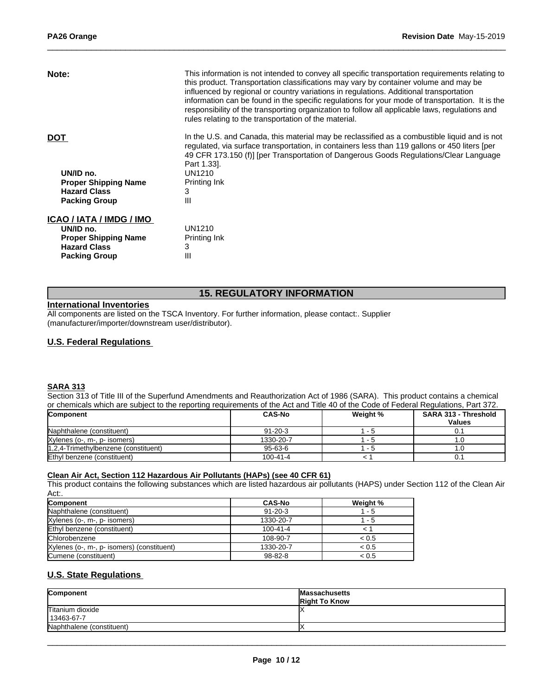| Note:                       | This information is not intended to convey all specific transportation requirements relating to<br>this product. Transportation classifications may vary by container volume and may be<br>influenced by regional or country variations in regulations. Additional transportation<br>information can be found in the specific regulations for your mode of transportation. It is the<br>responsibility of the transporting organization to follow all applicable laws, regulations and<br>rules relating to the transportation of the material. |
|-----------------------------|-------------------------------------------------------------------------------------------------------------------------------------------------------------------------------------------------------------------------------------------------------------------------------------------------------------------------------------------------------------------------------------------------------------------------------------------------------------------------------------------------------------------------------------------------|
| <b>DOT</b>                  | In the U.S. and Canada, this material may be reclassified as a combustible liquid and is not<br>regulated, via surface transportation, in containers less than 119 gallons or 450 liters [per<br>49 CFR 173.150 (f)] [per Transportation of Dangerous Goods Regulations/Clear Language<br>Part 1.33.                                                                                                                                                                                                                                            |
| UN/ID no.                   | UN1210                                                                                                                                                                                                                                                                                                                                                                                                                                                                                                                                          |
| <b>Proper Shipping Name</b> | Printing Ink                                                                                                                                                                                                                                                                                                                                                                                                                                                                                                                                    |
| <b>Hazard Class</b>         | 3                                                                                                                                                                                                                                                                                                                                                                                                                                                                                                                                               |
| <b>Packing Group</b>        | Ш                                                                                                                                                                                                                                                                                                                                                                                                                                                                                                                                               |
| ICAO / IATA / IMDG / IMO    |                                                                                                                                                                                                                                                                                                                                                                                                                                                                                                                                                 |
| UN/ID no.                   | UN1210                                                                                                                                                                                                                                                                                                                                                                                                                                                                                                                                          |
| <b>Proper Shipping Name</b> | Printing Ink                                                                                                                                                                                                                                                                                                                                                                                                                                                                                                                                    |
| <b>Hazard Class</b>         | 3                                                                                                                                                                                                                                                                                                                                                                                                                                                                                                                                               |
| <b>Packing Group</b>        | Ш                                                                                                                                                                                                                                                                                                                                                                                                                                                                                                                                               |

### **15. REGULATORY INFORMATION**

### **International Inventories**

All components are listed on the TSCA Inventory. For further information, please contact:. Supplier (manufacturer/importer/downstream user/distributor).

#### **U.S. Federal Regulations**

#### **SARA 313**

Section 313 of Title III of the Superfund Amendments and Reauthorization Act of 1986 (SARA). This product contains a chemical or chemicals which are subject to the reporting requirements of the Act and Title 40 of the Code of Federal Regulations, Part 372.

| Component                            | <b>CAS-No</b> | Weight % | <b>SARA 313 - Threshold</b><br><b>Values</b> |
|--------------------------------------|---------------|----------|----------------------------------------------|
| Naphthalene (constituent)            | $91 - 20 - 3$ | - ი      | υ.                                           |
| Xylenes (o-, m-, p- isomers)         | 1330-20-7     | $-5$     |                                              |
| 1,2,4-Trimethylbenzene (constituent) | $95-63-6$     | - ວ      |                                              |
| Ethyl benzene (constituent)          | 100-41-4      |          | O.,                                          |

### **Clean Air Act,Section 112 Hazardous Air Pollutants (HAPs) (see 40 CFR 61)**

This product contains the following substances which are listed hazardous air pollutants (HAPS) under Section 112 of the Clean Air Act:.

| <b>Component</b>                           | <b>CAS-No</b> | Weight % |
|--------------------------------------------|---------------|----------|
| Naphthalene (constituent)                  | $91 - 20 - 3$ | - 5      |
| Xylenes (o-, m-, p- isomers)               | 1330-20-7     | - 5      |
| Ethyl benzene (constituent)                | 100-41-4      |          |
| Chlorobenzene                              | 108-90-7      | < 0.5    |
| Xylenes (o-, m-, p- isomers) (constituent) | 1330-20-7     | < 0.5    |
| Cumene (constituent)                       | 98-82-8       | < 0.5    |

### **U.S. State Regulations**

| Component                      | <b>Massachusetts</b><br><b>Right To Know</b> |
|--------------------------------|----------------------------------------------|
| Titanium dioxide<br>13463-67-7 |                                              |
| Naphthalene (constituent)      |                                              |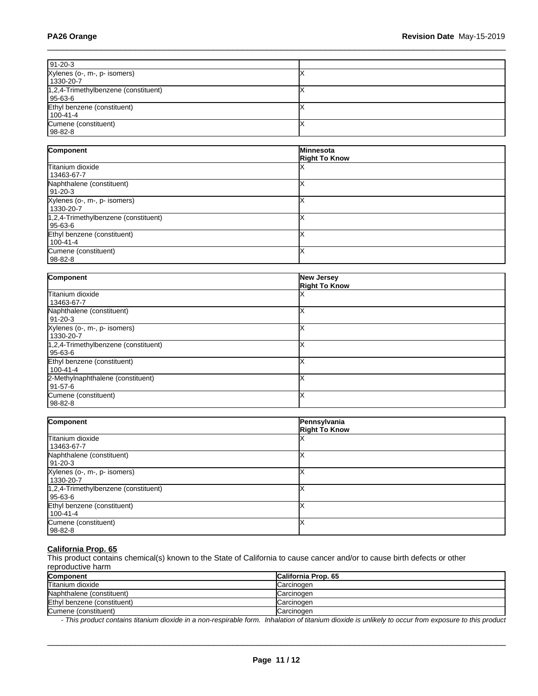| $91-20-3$                                         |  |
|---------------------------------------------------|--|
| Xylenes (o-, m-, p- isomers)<br>1330-20-7         |  |
| 1,2,4-Trimethylbenzene (constituent)<br>  95-63-6 |  |
| Ethyl benzene (constituent)<br>  100-41-4         |  |
| Cumene (constituent)<br>$ 98-82-8 $               |  |

| Component                                            | Minnesota<br><b>Right To Know</b> |
|------------------------------------------------------|-----------------------------------|
| Titanium dioxide<br>13463-67-7                       |                                   |
| Naphthalene (constituent)<br>91-20-3                 |                                   |
| Xylenes (o-, m-, p- isomers)<br>1330-20-7            |                                   |
| $1,2,4$ -Trimethylbenzene (constituent)<br>  95-63-6 |                                   |
| Ethyl benzene (constituent)<br>100-41-4              |                                   |
| Cumene (constituent)<br>98-82-8                      |                                   |

| Component                            | <b>New Jersey</b>    |  |
|--------------------------------------|----------------------|--|
|                                      | <b>Right To Know</b> |  |
| Titanium dioxide                     |                      |  |
| 13463-67-7                           |                      |  |
| Naphthalene (constituent)            |                      |  |
| 91-20-3                              |                      |  |
| Xylenes (o-, m-, p- isomers)         |                      |  |
| 1330-20-7                            |                      |  |
| 1,2,4-Trimethylbenzene (constituent) |                      |  |
| 95-63-6                              |                      |  |
| Ethyl benzene (constituent)          |                      |  |
| 100-41-4                             |                      |  |
| 2-Methylnaphthalene (constituent)    |                      |  |
| 91-57-6                              |                      |  |
| Cumene (constituent)                 |                      |  |
| 98-82-8                              |                      |  |

| Component                                            | Pennsylvania<br><b>Right To Know</b> |
|------------------------------------------------------|--------------------------------------|
| Titanium dioxide<br>13463-67-7                       |                                      |
| Naphthalene (constituent)<br>91-20-3                 |                                      |
| Xylenes (o-, m-, p- isomers)<br>1330-20-7            |                                      |
| $1,2,4$ -Trimethylbenzene (constituent)<br>  95-63-6 |                                      |
| Ethyl benzene (constituent)<br>100-41-4              |                                      |
| Cumene (constituent)<br>98-82-8                      |                                      |

### **California Prop. 65**

This product contains chemical(s) known to the State of California to cause cancer and/or to cause birth defects or other reproductive harm

| <b>Component</b>            | <b>California Prop. 65</b> |
|-----------------------------|----------------------------|
| Titanium dioxide            | Carcinogen                 |
| Naphthalene (constituent)   | Carcinogen                 |
| Ethyl benzene (constituent) | Carcinogen                 |
| Cumene (constituent)        | Carcinogen                 |

*- This product contains titanium dioxide in a non-respirable form. Inhalation of titanium dioxide is unlikely to occur from exposure to this product*